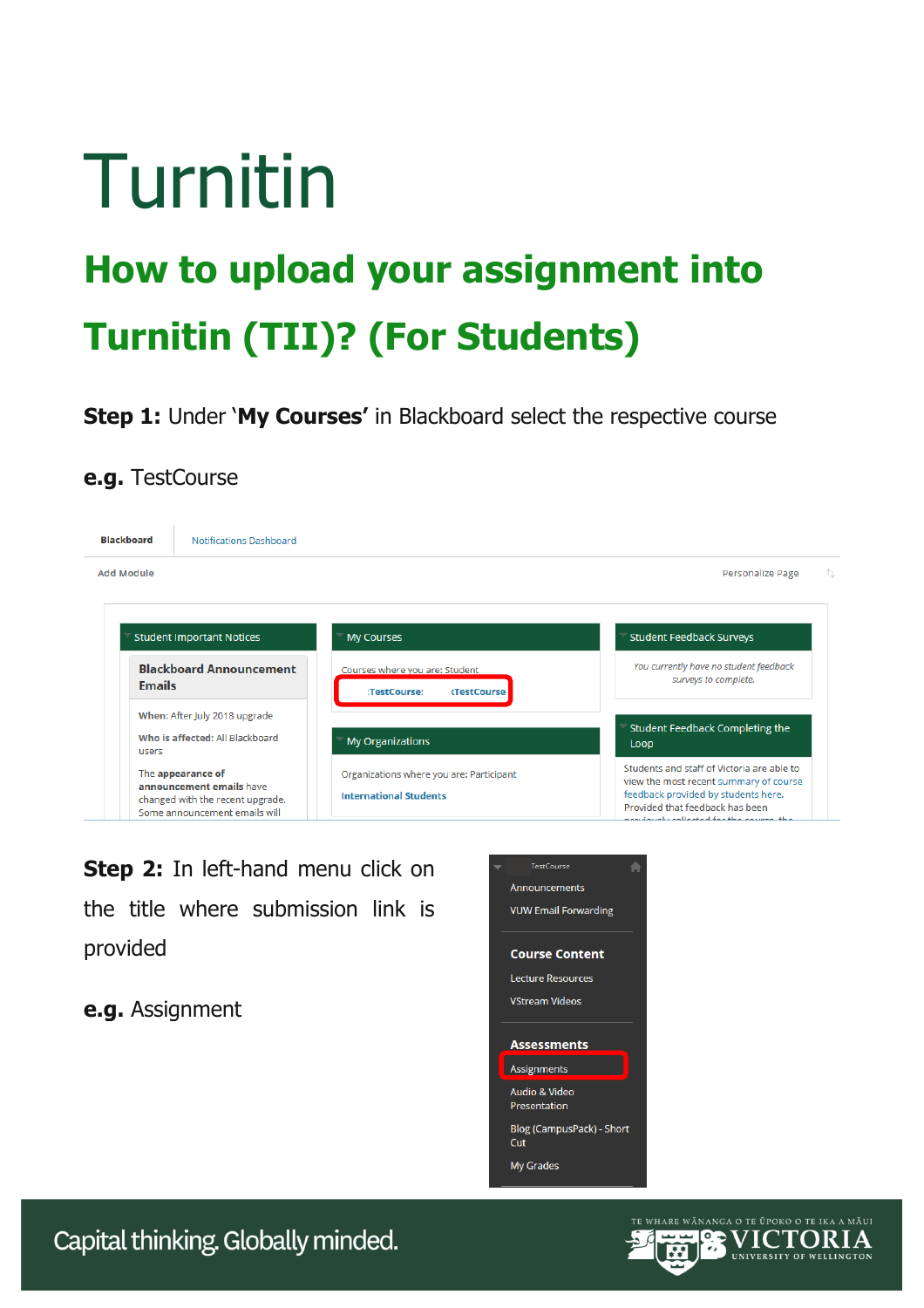# Turnitin

## **How to upload your assignment into Turnitin (TII)? (For Students)**

**Step 1:** Under '**My Courses'** in Blackboard select the respective course

## **e.g.** TestCourse

| <b>Blackboard</b> | Notifications Dashboard                                                                                            |                                                                           |                                                                                                                                                                                                             |
|-------------------|--------------------------------------------------------------------------------------------------------------------|---------------------------------------------------------------------------|-------------------------------------------------------------------------------------------------------------------------------------------------------------------------------------------------------------|
| <b>Add Module</b> |                                                                                                                    |                                                                           | Personalize Page                                                                                                                                                                                            |
|                   | <b>Student Important Notices</b>                                                                                   | <b>My Courses</b>                                                         | <b>Student Feedback Surveys</b>                                                                                                                                                                             |
| <b>Emails</b>     | <b>Blackboard Announcement</b>                                                                                     | Courses where you are: Student<br>:TestCourse:<br><b>(TestCourse)</b>     | You currently have no student feedback<br>surveys to complete.                                                                                                                                              |
| users             | When: After July 2018 upgrade<br>Who is affected: All Blackboard                                                   | <b>My Organizations</b>                                                   | Student Feedback Completing the<br>Loop                                                                                                                                                                     |
|                   | The appearance of<br>announcement emails have<br>changed with the recent upgrade.<br>Some announcement emails will | Organizations where you are: Participant<br><b>International Students</b> | Students and staff of Victoria are able to<br>view the most recent summary of course<br>feedback provided by students here.<br>Provided that feedback has been<br>province be collected for the course, the |

**Step 2:** In left-hand menu click on the title where submission link is provided

**e.g.** Assignment



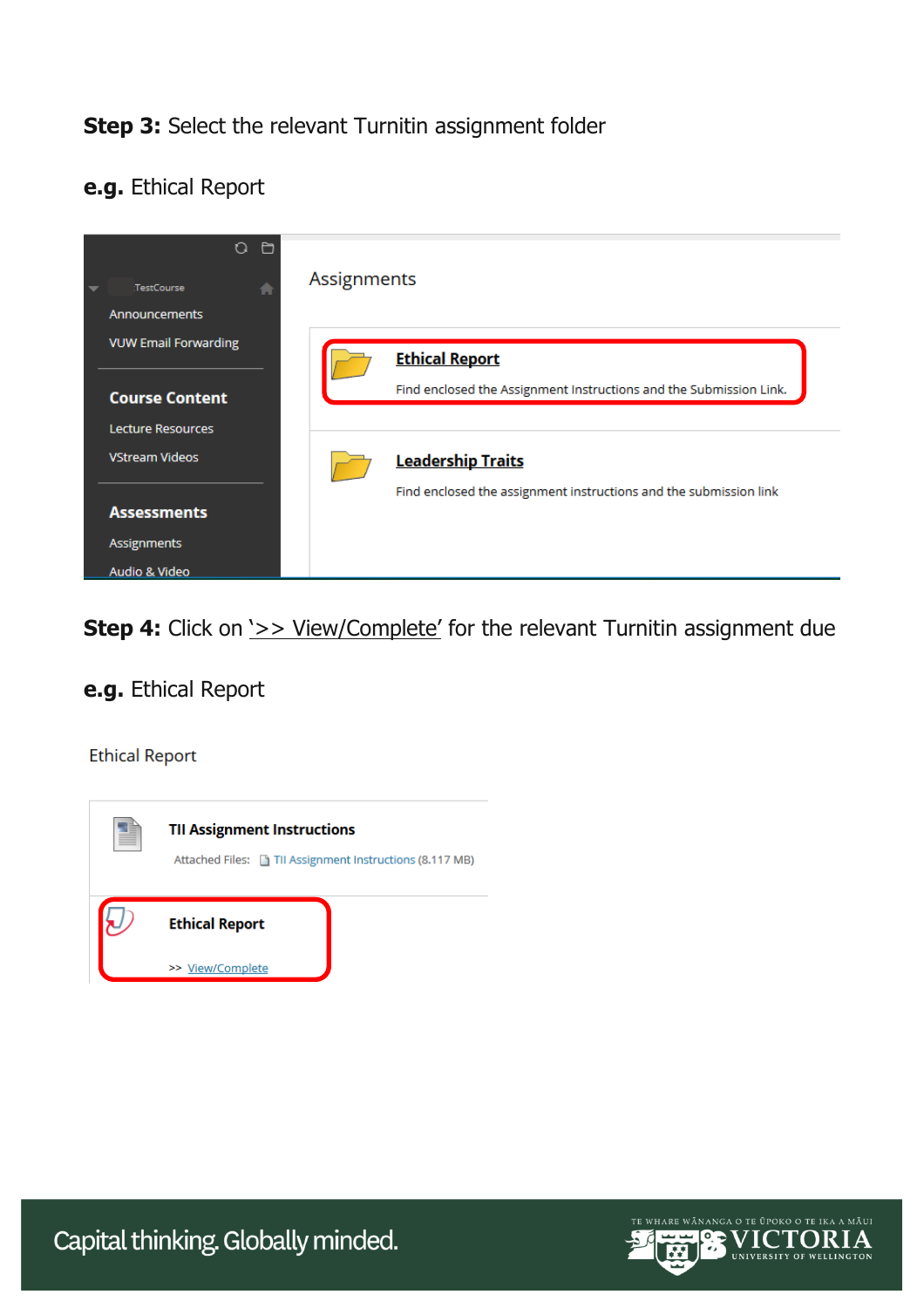## **Step 3:** Select the relevant Turnitin assignment folder

### **e.g.** Ethical Report



**Step 4:** Click on  $\geq$  > View/Complete' for the relevant Turnitin assignment due

## **e.g.** Ethical Report

#### **Ethical Report**





Capital thinking. Globally minded.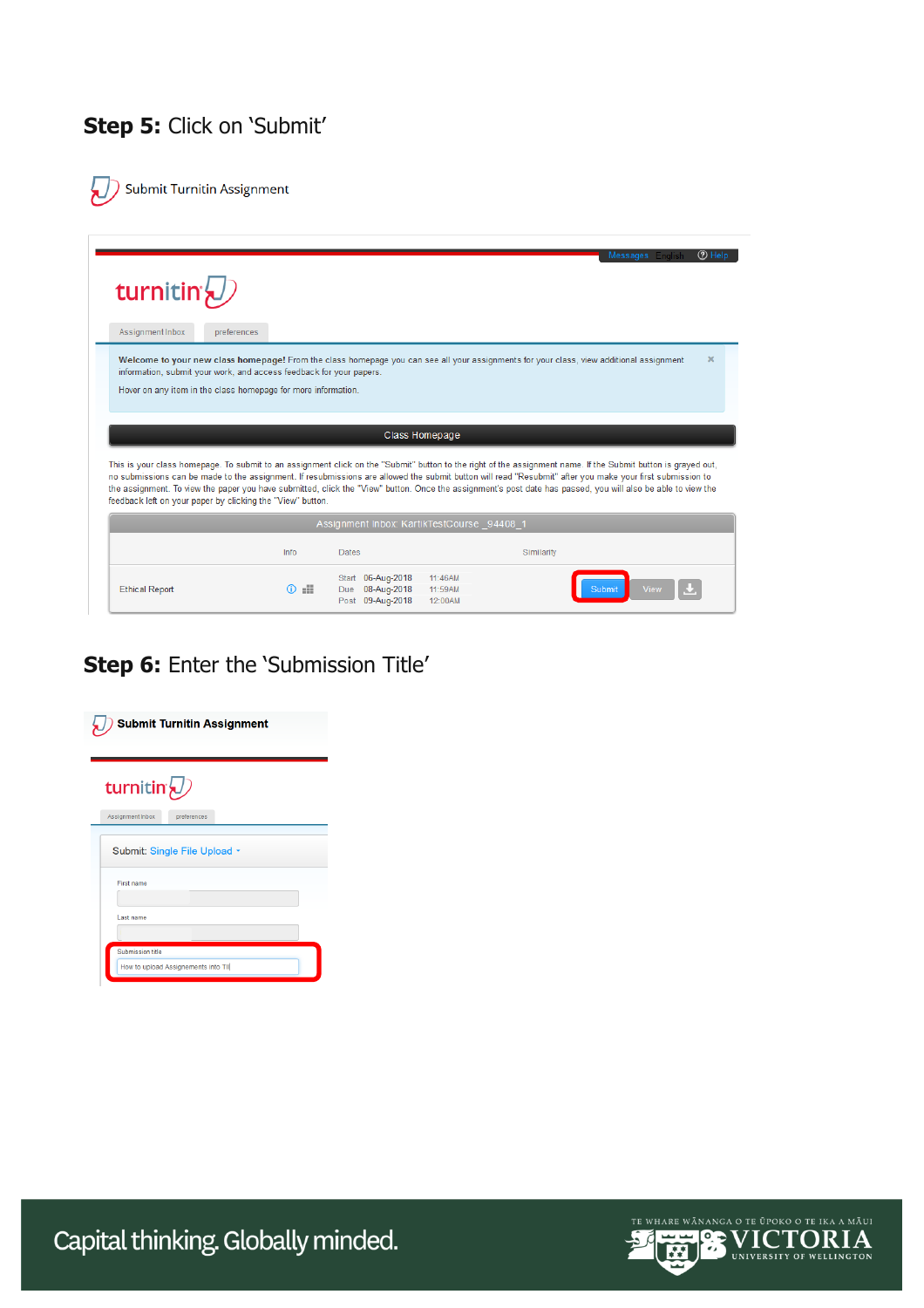## **Step 5:** Click on 'Submit'

Submit Turnitin Assignment يہ

| turnitin <sup>{</sup>                                                                                                                |             |                                                                                                                                                                                                                                                                                                                                                                                                                                                                                                                                          |                       |
|--------------------------------------------------------------------------------------------------------------------------------------|-------------|------------------------------------------------------------------------------------------------------------------------------------------------------------------------------------------------------------------------------------------------------------------------------------------------------------------------------------------------------------------------------------------------------------------------------------------------------------------------------------------------------------------------------------------|-----------------------|
| Assignment Inbox                                                                                                                     | preferences |                                                                                                                                                                                                                                                                                                                                                                                                                                                                                                                                          |                       |
| information, submit your work, and access feedback for your papers.<br>Hover on any item in the class homepage for more information. |             | Welcome to your new class homepage! From the class homepage you can see all your assignments for your class, view additional assignment                                                                                                                                                                                                                                                                                                                                                                                                  | $\boldsymbol{\times}$ |
|                                                                                                                                      |             |                                                                                                                                                                                                                                                                                                                                                                                                                                                                                                                                          |                       |
|                                                                                                                                      |             | Class Homepage                                                                                                                                                                                                                                                                                                                                                                                                                                                                                                                           |                       |
|                                                                                                                                      |             | This is your class homepage. To submit to an assignment click on the "Submit" button to the right of the assignment name. If the Submit button is grayed out,<br>no submissions can be made to the assignment. If resubmissions are allowed the submit button will read "Resubmit" after you make your first submission to<br>the assignment. To view the paper you have submitted, click the "View" button. Once the assignment's post date has passed, you will also be able to view the<br>Assignment Inbox: KartikTestCourse 94408 1 |                       |
| feedback left on your paper by clicking the "View" button.                                                                           | Info        | <b>Dates</b><br>Similarity                                                                                                                                                                                                                                                                                                                                                                                                                                                                                                               |                       |

## **Step 6:** Enter the 'Submission Title'

| <b>Submit Turnitin Assignment</b>  |  |  |  |  |
|------------------------------------|--|--|--|--|
| turnitin $\langle \bar{U} \rangle$ |  |  |  |  |
| Assignment Inbox<br>preferences    |  |  |  |  |
| Submit: Single File Upload -       |  |  |  |  |
| First name                         |  |  |  |  |
| Last name                          |  |  |  |  |
| <b>Submission title</b>            |  |  |  |  |
| How to upload Assignements into TI |  |  |  |  |



Capital thinking. Globally minded.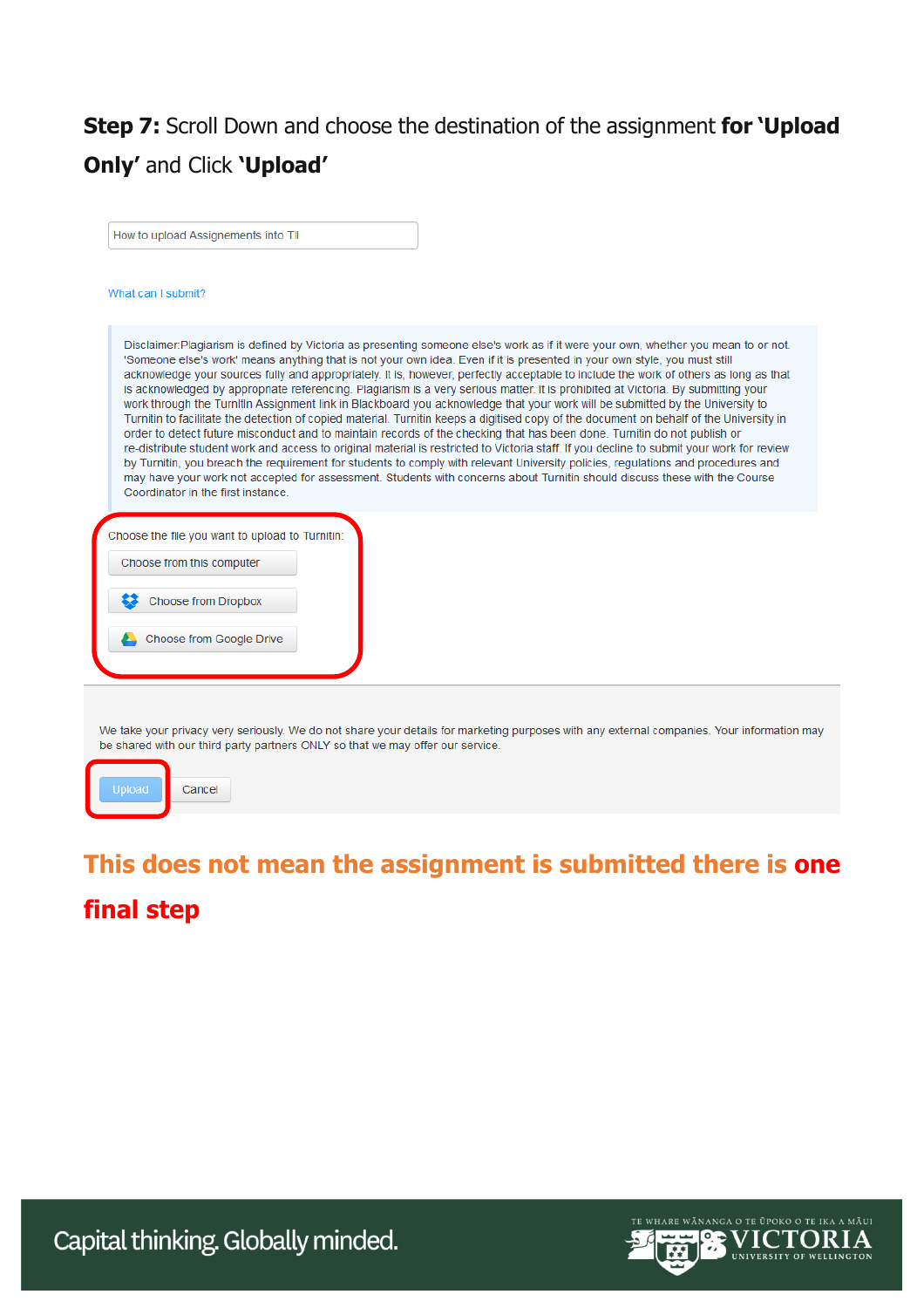## **Step 7:** Scroll Down and choose the destination of the assignment **for 'Upload Only'** and Click **'Upload'**

How to upload Assignements into TII

#### What can I submit?

Disclaimer: Plagiarism is defined by Victoria as presenting someone else's work as if it were your own, whether you mean to or not. 'Someone else's work' means anything that is not your own idea. Even if it is presented in your own style, you must still acknowledge your sources fully and appropriately. It is, however, perfectly acceptable to include the work of others as long as that is acknowledged by appropriate referencing. Plagiarism is a very serious matter. It is prohibited at Victoria. By submitting your work through the Turnitin Assignment link in Blackboard you acknowledge that your work will be submitted by the University to Turnitin to facilitate the detection of copied material. Turnitin keeps a digitised copy of the document on behalf of the University in order to detect future misconduct and to maintain records of the checking that has been done. Turnitin do not publish or re-distribute student work and access to original material is restricted to Victoria staff. If you decline to submit your work for review by Turnitin, you breach the requirement for students to comply with relevant University policies, regulations and procedures and may have your work not accepted for assessment. Students with concerns about Turnitin should discuss these with the Course Coordinator in the first instance.

| Choose the file you want to upload to Turnitin: |
|-------------------------------------------------|
| Choose from this computer                       |
| <b>Choose from Dropbox</b><br>33                |
| Choose from Google Drive                        |
|                                                 |

We take your privacy very seriously. We do not share your details for marketing purposes with any external companies. Your information may be shared with our third party partners ONLY so that we may offer our service.



## **This does not mean the assignment is submitted there is one final step**

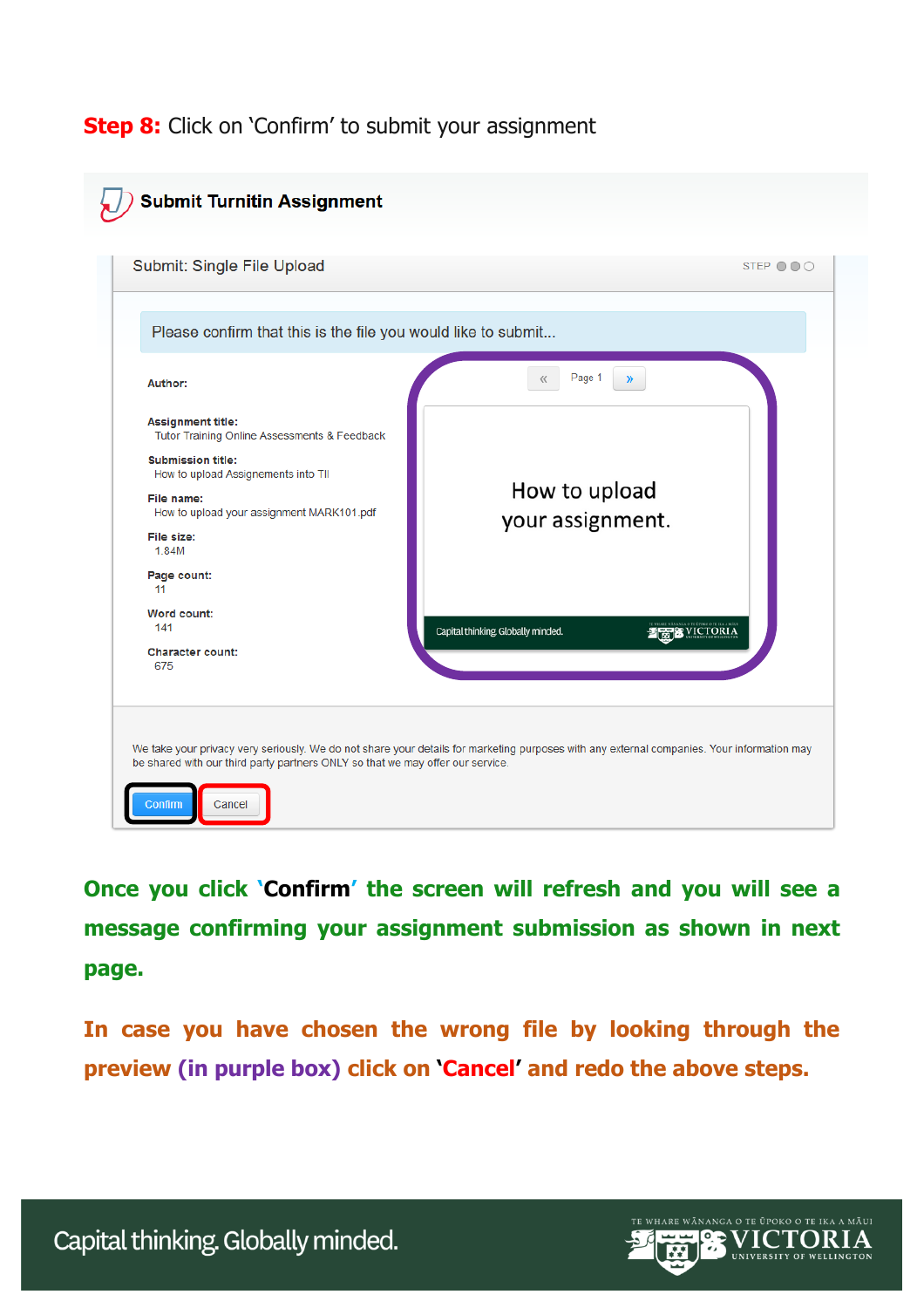## **Step 8:** Click on 'Confirm' to submit your assignment

| Please confirm that this is the file you would like to submit                                                                                                                                                                                      |                                                              |
|----------------------------------------------------------------------------------------------------------------------------------------------------------------------------------------------------------------------------------------------------|--------------------------------------------------------------|
| Author:                                                                                                                                                                                                                                            | Page 1<br>$\langle \langle$<br>$\mathcal{Y}$                 |
| <b>Assignment title:</b><br>Tutor Training Online Assessments & Feedback<br><b>Submission title:</b><br>How to upload Assignements into TII<br>File name:<br>How to upload your assignment MARK101.pdf<br>File size:<br>1.84M<br>Page count:<br>11 | How to upload<br>your assignment.                            |
| Word count:<br>141<br><b>Character count:</b><br>675                                                                                                                                                                                               | Capital thinking. Globally minded.<br><b>STREET SECTORIA</b> |

**Once you click 'Confirm' the screen will refresh and you will see a message confirming your assignment submission as shown in next page.**

**In case you have chosen the wrong file by looking through the preview (in purple box) click on 'Cancel' and redo the above steps.**